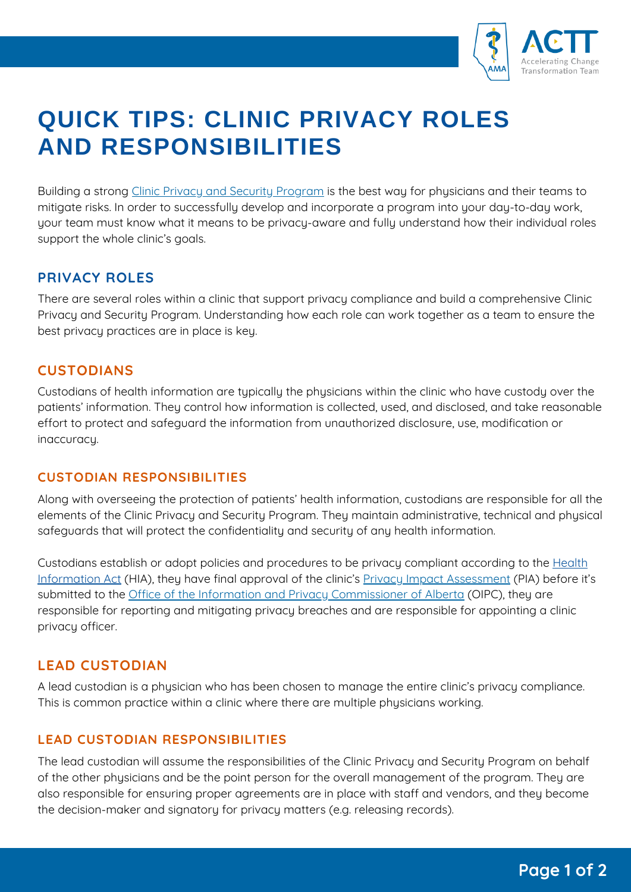

# **QUICK TIPS: CLINIC PRIVACY ROLES AND RESPONSIBILITIES**

Building a strong Clinic Privacy and Security [Program](https://www.albertadoctors.org/leaders-partners/clinic-patient-privacy/privacy-compliance-and-breaches) is the best way for physicians and their teams to mitigate risks. In order to successfully develop and incorporate a program into your day-to-day work, your team must know what it means to be privacy-aware and fully understand how their individual roles support the whole clinic's goals.

## **PRIVACY ROLES**

There are several roles within a clinic that support privacy compliance and build a comprehensive Clinic Privacy and Security Program. Understanding how each role can work together as a team to ensure the best privacy practices are in place is key.

## **CUSTODIANS**

Custodians of health information are typically the physicians within the clinic who have custody over the patients' information. They control how information is collected, used, and disclosed, and take reasonable effort to protect and safeguard the information from unauthorized disclosure, use, modification or inaccuracy.

#### **CUSTODIAN RESPONSIBILITIES**

Along with overseeing the protection of patients' health information, custodians are responsible for all the elements of the Clinic Privacy and Security Program. They maintain administrative, technical and physical safeguards that will protect the confidentiality and security of any health information.

Custodians establish or adopt policies and procedures to be privacy compliant according to the Health Information Act (HIA), they have final approval of the clinic's Privacy Impact [Assessment](https://www.albertadoctors.org/leaders-partners/clinic-patient-privacy/privacy-legislation) (PIA) before it's submitted to the Office of the Information and Privacy [Commissioner](https://www.oipc.ab.ca/) of Alberta (OIPC), they are responsible for reporting and mitigating privacy breaches and are responsible for appointing a clinic privacy officer.

## **LEAD CUSTODIAN**

A lead custodian is a physician who has been chosen to manage the entire clinic's privacy compliance. This is common practice within a clinic where there are multiple physicians working.

#### **LEAD CUSTODIAN RESPONSIBILITIES**

The lead custodian will assume the responsibilities of the Clinic Privacy and Security Program on behalf of the other physicians and be the point person for the overall management of the program. They are also responsible for ensuring proper agreements are in place with staff and vendors, and they become the decision-maker and signatory for privacy matters (e.g. releasing records).